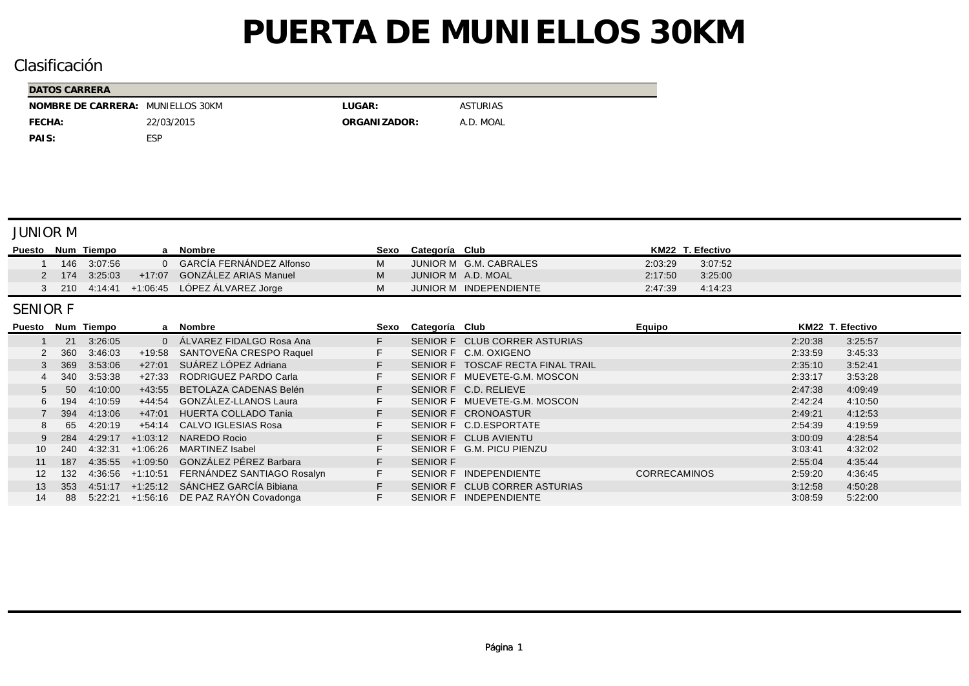## Clasificación

| DATOS CARRERA                     |            |               |                 |
|-----------------------------------|------------|---------------|-----------------|
| NOMBRE DE CARRERA: MUNIELLOS 30KM |            | LUGAR:        | <b>ASTURIAS</b> |
| FECHA:                            | 22/03/2015 | ORGANI ZADOR: | A.D. MOAL       |
| PAIS:                             | ESP        |               |                 |

#### JUNIOR M

| Puesto |     | Num Tiempo    | Nombre                               | Sexo | Categoría Club |                        |         | KM22 T. Efectivo |
|--------|-----|---------------|--------------------------------------|------|----------------|------------------------|---------|------------------|
|        | 146 | 3:07:56       | 0 GARCIA FERNANDEZ Alfonso           |      |                | JUNIOR M G.M. CABRALES | 2:03:29 | 3:07:52          |
|        |     | 2 174 3:25:03 | +17:07 GONZALEZ ARIAS Manuel         |      |                | JUNIOR M A.D. MOAL     | 2:17:50 | 3.25.00          |
|        | 210 |               | 4:14:41 +1:06:45 LOPEZ ALVAREZ Jorge |      |                | JUNIOR M INDEPENDIENTE | 2:47:39 | 4.14.23          |

#### SENIOR F

| Puesto |       | Num Tiempo |                      | a Nombre                                    | Sexo | Categoría Club  |                                   | Equipo              | KM22 T. Efectivo |         |
|--------|-------|------------|----------------------|---------------------------------------------|------|-----------------|-----------------------------------|---------------------|------------------|---------|
|        | 21    | 3:26:05    | $\Omega$             | ALVAREZ FIDALGO Rosa Ana                    | F.   |                 | SENIOR F CLUB CORRER ASTURIAS     |                     | 2:20:38          | 3:25:57 |
|        | 2 360 | 3:46:03    | +19:58               | SANTOVEÑA CRESPO Raquel                     | F.   |                 | SENIOR F C.M. OXIGENO             |                     | 2:33:59          | 3:45:33 |
|        | 3 369 | 3:53:06    | $+27:01$             | SUÁREZ LÓPEZ Adriana                        |      |                 | SENIOR F TOSCAF RECTA FINAL TRAIL |                     | 2:35:10          | 3:52:41 |
|        | 4 340 | 3:53:38    | +27:33               | RODRIGUEZ PARDO Carla                       |      |                 | SENIOR F MUEVETE-G.M. MOSCON      |                     | 2:33:17          | 3:53:28 |
|        | 50    | 4:10:00    | +43:55               | BETOLAZA CADENAS Belén                      |      |                 | SENIOR F C.D. RELIEVE             |                     | 2:47:38          | 4:09:49 |
|        | 6 194 | 4:10:59    | +44:54               | GONZALEZ-LLANOS Laura                       | F.   |                 | SENIOR F MUEVETE-G.M. MOSCON      |                     | 2:42:24          | 4:10:50 |
|        | 394   | 4:13:06    | +47:01               | HUERTA COLLADO Tania                        |      |                 | SENIOR F CRONOASTUR               |                     | 2:49:21          | 4:12:53 |
| 8.     | 65    | 4:20:19    |                      | +54:14 CALVO IGLESIAS Rosa                  |      |                 | SENIOR F C.D.ESPORTATE            |                     | 2:54:39          | 4:19:59 |
|        | 9 284 | 4:29:17    |                      | +1:03:12 NAREDO Rocio                       |      |                 | SENIOR F CLUB AVIENTU             |                     | 3:00:09          | 4:28:54 |
|        | 240   | 4:32:31    | +1:06:26             | MARTINEZ Isabel                             |      |                 | SENIOR F G.M. PICU PIENZU         |                     | 3:03:41          | 4:32:02 |
| 11     | 187   |            | $4:35:55 + 1:09:50$  | GONZÁLEZ PÉREZ Barbara                      |      | <b>SENIOR F</b> |                                   |                     | 2:55:04          | 4:35:44 |
| 12     | 132   |            | $4:36:56$ $+1:10:51$ | FERNANDEZ SANTIAGO Rosalyn                  | F.   |                 | SENIOR F INDEPENDIENTE            | <b>CORRECAMINOS</b> | 2:59:20          | 4:36:45 |
| 13     | 353   |            |                      | $4:51:17$ $+1:25:12$ SÁNCHEZ GARCÍA Bibiana |      |                 | SENIOR F CLUB CORRER ASTURIAS     |                     | 3:12:58          | 4:50:28 |
| 14     | 88    |            |                      | $5:22:21$ +1:56:16 DE PAZ RAYÓN Covadonga   | F.   |                 | SENIOR F INDEPENDIENTE            |                     | 3:08:59          | 5:22:00 |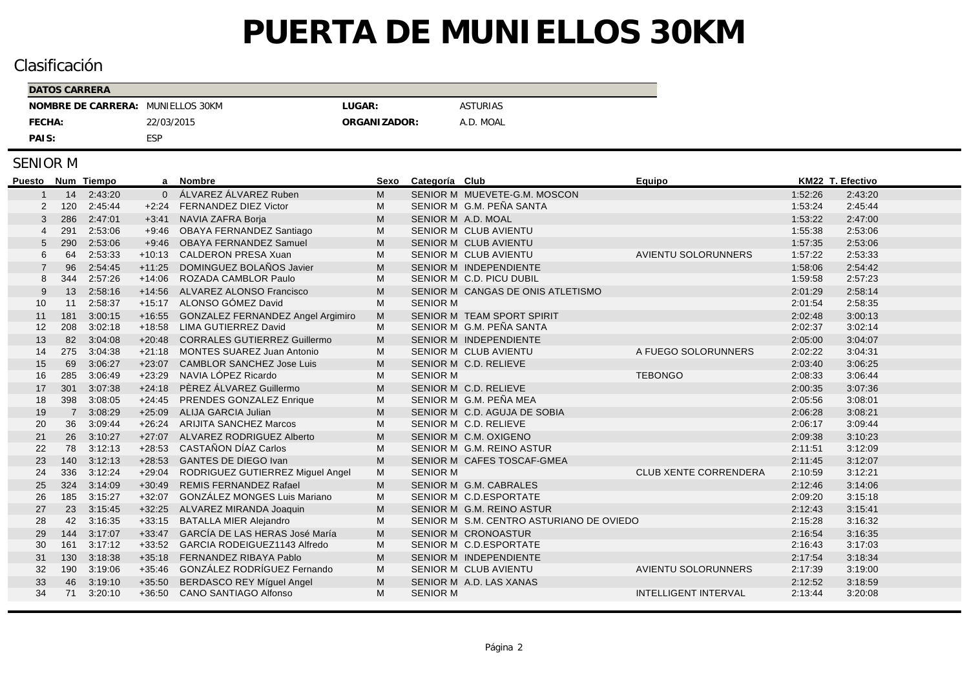## Clasificación

| <b>DATOS CARRERA</b>              |            |               |                 |
|-----------------------------------|------------|---------------|-----------------|
| NOMBRE DE CARRERA: MUNIELLOS 30KM |            | LUGAR:        | <b>ASTURIAS</b> |
| FECHA:                            | 22/03/2015 | ORGANI ZADOR: | A.D. MOAL       |
| PAIS:                             | ESP        |               |                 |

| <b>Puesto</b> |                | Num Tiempo | a              | <b>Nombre</b>                       | Sexo | Categoría Club                           | Equipo                       |         | KM22 T. Efectivo |
|---------------|----------------|------------|----------------|-------------------------------------|------|------------------------------------------|------------------------------|---------|------------------|
|               |                | 14 2:43:20 | $\overline{0}$ | ÁLVAREZ ÁLVAREZ Ruben               | M    | SENIOR M MUEVETE-G.M. MOSCON             |                              | 1:52:26 | 2:43:20          |
|               | 120            | 2:45:44    | $+2.24$        | <b>FERNANDEZ DIEZ Victor</b>        | М    | SENIOR M G.M. PEÑA SANTA                 |                              | 1:53:24 | 2:45:44          |
| -3            | 286            | 2:47:01    |                | +3:41 NAVIA ZAFRA Borja             | M    | SENIOR M A.D. MOAL                       |                              | 1:53:22 | 2:47:00          |
|               | 291            | 2:53:06    | $+9:46$        | OBAYA FERNANDEZ Santiago            | М    | <b>SENIOR M CLUB AVIENTU</b>             |                              | 1:55:38 | 2:53:06          |
| 5             | 290            | 2:53:06    | $+9:46$        | <b>OBAYA FERNANDEZ Samuel</b>       | М    | SENIOR M CLUB AVIENTU                    |                              | 1:57:35 | 2:53:06          |
| 6             | 64             | 2:53:33    | $+10:13$       | <b>CALDERON PRESA Xuan</b>          | М    | <b>SENIOR M CLUB AVIENTU</b>             | <b>AVIENTU SOLORUNNERS</b>   | 1:57:22 | 2:53:33          |
|               | 96             | 2:54:45    | $+11:25$       | DOMINGUEZ BOLAÑOS Javier            | M    | SENIOR M INDEPENDIENTE                   |                              | 1:58:06 | 2:54:42          |
| 8             | 344            | 2:57:26    | $+14:06$       | <b>ROZADA CAMBLOR Paulo</b>         | М    | SENIOR M C.D. PICU DUBIL                 |                              | 1:59.58 | 2:57:23          |
|               | 13             | 2:58:16    | $+14:56$       | <b>ALVAREZ ALONSO Francisco</b>     | M    | SENIOR M CANGAS DE ONIS ATLETISMO        |                              | 2:01:29 | 2:58:14          |
| 10            | 11             | 2:58:37    | $+15:17$       | ALONSO GÓMEZ David                  | М    | <b>SENIOR M</b>                          |                              | 2:01:54 | 2:58:35          |
| 11            | 181            | 3:00:15    | $+16.55$       | GONZALEZ FERNANDEZ Angel Argimiro   | M    | SENIOR M TEAM SPORT SPIRIT               |                              | 2:02:48 | 3:00:13          |
| 12            | 208            | 3:02:18    | $+18:58$       | <b>LIMA GUTIERREZ David</b>         | M    | SENIOR M G.M. PEÑA SANTA                 |                              | 2:02:37 | 3:02:14          |
| 13            | 82             | 3:04:08    | $+20:48$       | <b>CORRALES GUTIERREZ Guillermo</b> | M    | SENIOR M INDEPENDIENTE                   |                              | 2:05:00 | 3:04:07          |
| 14            | 275            | 3:04:38    | $+21:18$       | <b>MONTES SUAREZ Juan Antonio</b>   | M    | <b>SENIOR M CLUB AVIENTU</b>             | A FUEGO SOLORUNNERS          | 2:02:22 | 3:04:31          |
| 15            | 69             | 3:06:27    | $+23:07$       | <b>CAMBLOR SANCHEZ Jose Luis</b>    | M    | SENIOR M C.D. RELIEVE                    |                              | 2:03:40 | 3:06:25          |
| 16            | 285            | 3:06:49    | $+23:29$       | NAVIA LÓPEZ Ricardo                 | М    | <b>SENIOR M</b>                          | <b>TEBONGO</b>               | 2:08:33 | 3:06:44          |
| 17            | 301            | 3:07:38    | $+24:18$       | PÈREZ ÁLVAREZ Guillermo             | M    | SENIOR M C.D. RELIEVE                    |                              | 2:00:35 | 3:07:36          |
| 18            | 398            | 3:08:05    | $+24:45$       | PRENDES GONZALEZ Enrique            | М    | SENIOR M G.M. PEÑA MEA                   |                              | 2:05:56 | 3:08:01          |
| 19            | $\overline{7}$ | 3:08:29    | $+25:09$       | <b>ALIJA GARCIA Julian</b>          | M    | SENIOR M C.D. AGUJA DE SOBIA             |                              | 2:06:28 | 3:08:21          |
| 20            | 36             | 3:09:44    | $+26:24$       | <b>ARIJITA SANCHEZ Marcos</b>       | M    | SENIOR M C.D. RELIEVE                    |                              | 2:06:17 | 3:09:44          |
| 21            | 26             | 3:10:27    | $+27:07$       | ALVAREZ RODRIGUEZ Alberto           | M    | SENIOR M C.M. OXIGENO                    |                              | 2:09:38 | 3:10:23          |
| 22            | 78             | 3:12:13    | $+28:53$       | CASTAÑON DÍAZ Carlos                | M    | SENIOR M G.M. REINO ASTUR                |                              | 2:11:51 | 3:12:09          |
| 23            | 140            | 3:12:13    | $+28.53$       | <b>GANTES DE DIEGO Ivan</b>         | M    | SENIOR M CAFES TOSCAF-GMEA               |                              | 2:11:45 | 3:12:07          |
| 24            | 336            | 3:12:24    | $+29:04$       | RODRIGUEZ GUTIERREZ Miguel Angel    | М    | <b>SENIOR M</b>                          | <b>CLUB XENTE CORRENDERA</b> | 2:10:59 | 3:12:21          |
| 25            | 324            | 3:14:09    | $+30:49$       | <b>REMIS FERNANDEZ Rafael</b>       | M    | SENIOR M G.M. CABRALES                   |                              | 2:12:46 | 3:14:06          |
| 26            | 185            | 3:15:27    | $+32:07$       | <b>GONZÁLEZ MONGES Luis Mariano</b> | М    | SENIOR M C.D.ESPORTATE                   |                              | 2:09:20 | 3:15:18          |
| 27            | 23             | 3:15:45    | $+32:25$       | ALVAREZ MIRANDA Joaquin             | М    | SENIOR M G.M. REINO ASTUR                |                              | 2:12:43 | 3:15:41          |
| 28            | 42             | 3:16:35    | $+33:15$       | <b>BATALLA MIER Alejandro</b>       | М    | SENIOR M S.M. CENTRO ASTURIANO DE OVIEDO |                              | 2:15:28 | 3:16:32          |
| 29            | 144            | 3:17:07    | $+33:47$       | GARCÍA DE LAS HERAS José María      | M    | <b>SENIOR M CRONOASTUR</b>               |                              | 2:16:54 | 3:16:35          |
| 30            | 161            | 3:17:12    | $+33:52$       | GARCIA RODEIGUEZ1143 Alfredo        | M    | SENIOR M C.D.ESPORTATE                   |                              | 2:16:43 | 3:17:03          |
| 31            | 130            | 3:18:38    | $+35:18$       | FERNANDEZ RIBAYA Pablo              | M    | SENIOR M INDEPENDIENTE                   |                              | 2:17:54 | 3:18:34          |
| 32            | 190            | 3:19:06    | $+35:46$       | GONZÁLEZ RODRÍGUEZ Fernando         | M    | <b>SENIOR M CLUB AVIENTU</b>             | AVIENTU SOLORUNNERS          | 2:17:39 | 3:19:00          |
| 33            | 46             | 3:19:10    | $+35:50$       | BERDASCO REY Míguel Angel           | M    | SENIOR M A.D. LAS XANAS                  |                              | 2:12:52 | 3:18:59          |
| 34            | 71             | 3:20:10    | $+36:50$       | <b>CANO SANTIAGO Alfonso</b>        | M    | <b>SENIOR M</b>                          | <b>INTELLIGENT INTERVAL</b>  | 2:13:44 | 3:20:08          |
|               |                |            |                |                                     |      |                                          |                              |         |                  |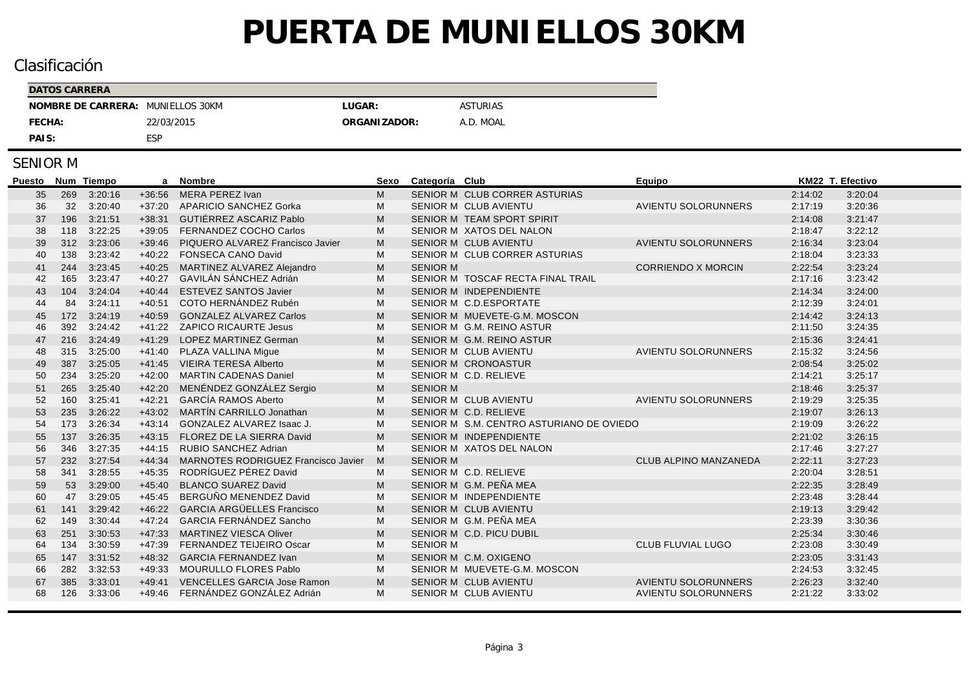## Clasificación

| <b>DATOS CARRERA</b> |                |              |                 |
|----------------------|----------------|--------------|-----------------|
| NOMBRE DE CARRERA:   | MUNIELLOS 30KM | LUGAR:       | <b>ASTURIAS</b> |
| FECHA:               | 22/03/2015     | ORGANIZADOR: | A.D. MOAL       |
| PAIS:                | ESP            |              |                 |

| Puesto |     | Num Tiempo | a        | Nombre                                     | Sexo | Categoría Club  |                                          | Equipo                       | KM22 T. Efectivo |         |
|--------|-----|------------|----------|--------------------------------------------|------|-----------------|------------------------------------------|------------------------------|------------------|---------|
| 35     | 269 | 3:20:16    | $+36:56$ | MERA PEREZ Ivan                            | м    |                 | SENIOR M CLUB CORRER ASTURIAS            |                              | 2:14:02          | 3:20:04 |
| 36     | 32  | 3:20:40    | $+37:20$ | <b>APARICIO SANCHEZ Gorka</b>              | М    |                 | <b>SENIOR M CLUB AVIENTU</b>             | <b>AVIENTU SOLORUNNERS</b>   | 2:17:19          | 3:20:36 |
| 37     | 196 | 3:21:51    | $+38:31$ | GUTIÉRREZ ASCARIZ Pablo                    | M    |                 | SENIOR M TEAM SPORT SPIRIT               |                              | 2:14:08          | 3:21:47 |
| 38     | 118 | 3:22:25    | $+39:05$ | FERNANDEZ COCHO Carlos                     | М    |                 | SENIOR M XATOS DEL NALON                 |                              | 2:18:47          | 3:22:12 |
| 39     | 312 | 3:23:06    | $+39:46$ | PIQUERO ALVAREZ Francisco Javier           | M    |                 | <b>SENIOR M CLUB AVIENTU</b>             | <b>AVIENTU SOLORUNNERS</b>   | 2:16:34          | 3:23:04 |
| 40     | 138 | 3:23:42    | $+40:22$ | <b>FONSECA CANO David</b>                  | M    |                 | SENIOR M CLUB CORRER ASTURIAS            |                              | 2:18:04          | 3:23:33 |
| 41     | 244 | 3:23:45    | $+40:25$ | MARTINEZ ALVAREZ Alejandro                 | М    | <b>SENIOR M</b> |                                          | <b>CORRIENDO X MORCIN</b>    | 2:22:54          | 3:23:24 |
| 42     | 165 | 3:23:47    | $+40:27$ | GAVILÁN SÁNCHEZ Adrián                     | М    |                 | SENIOR M TOSCAF RECTA FINAL TRAIL        |                              | 2:17:16          | 3:23:42 |
| 43     | 104 | 3:24:04    | $+40:44$ | ESTEVEZ SANTOS Javier                      | М    |                 | SENIOR M INDEPENDIENTE                   |                              | 2:14:34          | 3:24:00 |
| 44     | 84  | 3:24:11    | $+40:51$ | COTO HERNÁNDEZ Rubén                       | М    |                 | SENIOR M C.D.ESPORTATE                   |                              | 2:12:39          | 3:24:01 |
| 45     | 172 | 3:24:19    | $+40:59$ | <b>GONZALEZ ALVAREZ Carlos</b>             | М    |                 | SENIOR M MUEVETE-G.M. MOSCON             |                              | 2:14:42          | 3:24:13 |
| 46     | 392 | 3:24:42    | $+41:22$ | <b>ZAPICO RICAURTE Jesus</b>               | M    |                 | SENIOR M G.M. REINO ASTUR                |                              | 2:11:50          | 3:24:35 |
| 47     | 216 | 3:24:49    | $+41:29$ | <b>LOPEZ MARTINEZ German</b>               | M    |                 | SENIOR M G.M. REINO ASTUR                |                              | 2:15:36          | 3:24:41 |
| 48     | 315 | 3:25:00    | $+41:40$ | PLAZA VALLINA Mique                        | М    |                 | <b>SENIOR M CLUB AVIENTU</b>             | <b>AVIENTU SOLORUNNERS</b>   | 2:15:32          | 3:24:56 |
| 49     | 387 | 3:25:05    | $+41:45$ | <b>VIEIRA TERESA Alberto</b>               | M    |                 | <b>SENIOR M CRONOASTUR</b>               |                              | 2:08:54          | 3:25:02 |
| 50     | 234 | 3:25:20    | $+42:00$ | <b>MARTIN CADENAS Daniel</b>               | М    |                 | SENIOR M C.D. RELIEVE                    |                              | 2:14:21          | 3:25:17 |
| 51     | 265 | 3:25:40    | $+42:20$ | MENÉNDEZ GONZÁLEZ Sergio                   | М    | <b>SENIOR M</b> |                                          |                              | 2:18:46          | 3:25:37 |
| 52     | 160 | 3:25:41    | $+42:21$ | <b>GARCÍA RAMOS Aberto</b>                 | M    |                 | <b>SENIOR M CLUB AVIENTU</b>             | <b>AVIENTU SOLORUNNERS</b>   | 2:19:29          | 3:25:35 |
| 53     | 235 | 3:26:22    | $+43:02$ | <b>MARTÍN CARRILLO Jonathan</b>            | M    |                 | SENIOR M C.D. RELIEVE                    |                              | 2:19:07          | 3:26:13 |
| 54     | 173 | 3:26:34    | $+43:14$ | GONZALEZ ALVAREZ Isaac J.                  | М    |                 | SENIOR M S.M. CENTRO ASTURIANO DE OVIEDO |                              | 2:19:09          | 3:26:22 |
| 55     | 137 | 3:26:35    | $+43:15$ | FLOREZ DE LA SIERRA David                  | M    |                 | SENIOR M INDEPENDIENTE                   |                              | 2:21:02          | 3:26:15 |
| 56     | 346 | 3:27:35    | $+44:15$ | RUBIO SANCHEZ Adrian                       | М    |                 | SENIOR M XATOS DEL NALON                 |                              | 2:17:46          | 3:27:27 |
| 57     | 232 | 3:27:54    | $+44:34$ | <b>MARNOTES RODRIGUEZ Francisco Javier</b> | M    | <b>SENIOR M</b> |                                          | <b>CLUB ALPINO MANZANEDA</b> | 2:22:11          | 3:27:23 |
| 58     | 341 | 3:28:55    | $+45:35$ | RODRÍGUEZ PÉREZ David                      | M    |                 | SENIOR M C.D. RELIEVE                    |                              | 2:20:04          | 3:28:51 |
| 59     | 53  | 3:29:00    | $+45:40$ | <b>BLANCO SUAREZ David</b>                 | M    |                 | SENIOR M G.M. PEÑA MEA                   |                              | 2:22:35          | 3:28:49 |
| 60     | 47  | 3:29:05    | $+45.45$ | BERGUÑO MENENDEZ David                     | М    |                 | SENIOR M INDEPENDIENTE                   |                              | 2:23:48          | 3:28:44 |
| 61     | 141 | 3:29:42    | $+46:22$ | <b>GARCIA ARGÜELLES Francisco</b>          | M    |                 | SENIOR M CLUB AVIENTU                    |                              | 2:19:13          | 3:29:42 |
| 62     | 149 | 3:30:44    | $+47:24$ | GARCIA FERNÁNDEZ Sancho                    | М    |                 | SENIOR M G.M. PEÑA MEA                   |                              | 2:23:39          | 3:30:36 |
| 63     | 251 | 3:30:53    | $+47:33$ | <b>MARTINEZ VIESCA Oliver</b>              | M    |                 | SENIOR M C.D. PICU DUBIL                 |                              | 2:25:34          | 3:30:46 |
| 64     | 134 | 3:30:59    | $+47:39$ | <b>FERNANDEZ TEIJEIRO Oscar</b>            | M    | <b>SENIOR M</b> |                                          | <b>CLUB FLUVIAL LUGO</b>     | 2:23:08          | 3:30:49 |
| 65     | 147 | 3:31:52    | $+48:32$ | <b>GARCIA FERNANDEZ Ivan</b>               | М    |                 | SENIOR M C.M. OXIGENO                    |                              | 2:23:05          | 3:31:43 |
| 66     | 282 | 3:32:53    | $+49:33$ | <b>MOURULLO FLORES Pablo</b>               | M    |                 | SENIOR M MUEVETE-G.M. MOSCON             |                              | 2:24:53          | 3:32:45 |
| 67     | 385 | 3:33:01    | $+49:41$ | <b>VENCELLES GARCIA Jose Ramon</b>         | M    |                 | <b>SENIOR M CLUB AVIENTU</b>             | <b>AVIENTU SOLORUNNERS</b>   | 2:26:23          | 3:32:40 |
| 68     | 126 | 3:33:06    | $+49:46$ | FERNÁNDEZ GONZÁLEZ Adrián                  | M    |                 | SENIOR M CLUB AVIENTU                    | <b>AVIENTU SOLORUNNERS</b>   | 2:21:22          | 3:33:02 |
|        |     |            |          |                                            |      |                 |                                          |                              |                  |         |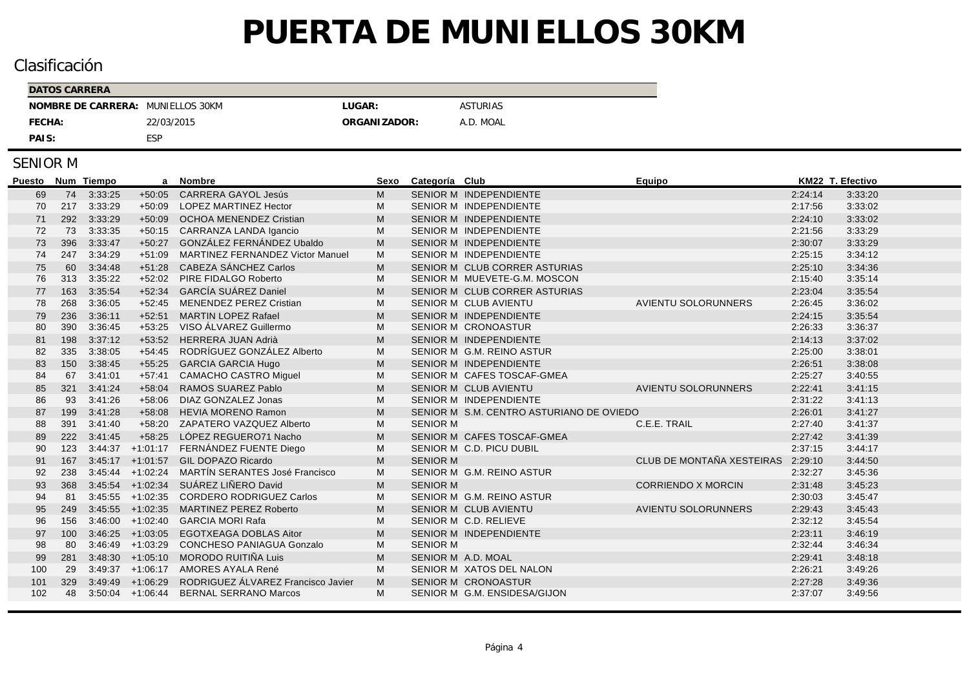## Clasificación

| DATOS CARRERA                     |            |              |                 |
|-----------------------------------|------------|--------------|-----------------|
| NOMBRE DE CARRERA: MUNIELLOS 30KM |            | LUGAR:       | <b>ASTURIAS</b> |
| FECHA:                            | 22/03/2015 | ORGANIZADOR: | A.D. MOAL       |
| PAIS:                             | ESP        |              |                 |

| Puesto |     | Num Tiempo | a                  | Nombre                                  | Sexo | Categoría Club     |                                          | Equipo                     | KM22 T. Efectivo |         |
|--------|-----|------------|--------------------|-----------------------------------------|------|--------------------|------------------------------------------|----------------------------|------------------|---------|
| 69     | 74  | 3:33:25    | $+50:05$           | <b>CARRERA GAYOL Jesús</b>              | м    |                    | SENIOR M INDEPENDIENTE                   |                            | 2:24:14          | 3:33:20 |
| 70     | 217 | 3:33:29    | $+50.09$           | LOPEZ MARTINEZ Hector                   | М    |                    | SENIOR M INDEPENDIENTE                   |                            | 2:17:56          | 3:33:02 |
| 71     | 292 | 3:33:29    | $+50:09$           | <b>OCHOA MENENDEZ Cristian</b>          | M    |                    | SENIOR M INDEPENDIENTE                   |                            | 2:24:10          | 3:33:02 |
| 72     | 73  | 3:33:35    | $+50:15$           | CARRANZA LANDA Igancio                  | М    |                    | SENIOR M INDEPENDIENTE                   |                            | 2:21:56          | 3:33:29 |
| 73     | 396 | 3:33:47    | $+50:27$           | GONZÁLEZ FERNÁNDEZ Ubaldo               | M    |                    | <b>SENIOR M INDEPENDIENTE</b>            |                            | 2:30:07          | 3:33:29 |
| 74     | 247 | 3:34:29    | $+51:09$           | <b>MARTINEZ FERNANDEZ Victor Manuel</b> | М    |                    | SENIOR M INDEPENDIENTE                   |                            | 2:25:15          | 3:34:12 |
| 75     | 60  | 3:34:48    | $+51:28$           | CABEZA SÁNCHEZ Carlos                   | М    |                    | SENIOR M CLUB CORRER ASTURIAS            |                            | 2:25:10          | 3:34:36 |
| 76     | 313 | 3:35:22    | $+52:02$           | PIRE FIDALGO Roberto                    | М    |                    | SENIOR M MUEVETE-G.M. MOSCON             |                            | 2:15:40          | 3:35:14 |
| 77     | 163 | 3:35:54    | $+52:34$           | <b>GARCÍA SUÁREZ Daniel</b>             | M    |                    | SENIOR M CLUB CORRER ASTURIAS            |                            | 2:23:04          | 3:35:54 |
| 78     | 268 | 3:36:05    | $+52:45$           | MENENDEZ PEREZ Cristian                 | M    |                    | SENIOR M CLUB AVIENTU                    | <b>AVIENTU SOLORUNNERS</b> | 2:26:45          | 3:36:02 |
| 79     | 236 | 3:36:11    | $+52:51$           | <b>MARTIN LOPEZ Rafael</b>              | М    |                    | <b>SENIOR M INDEPENDIENTE</b>            |                            | 2:24:15          | 3:35:54 |
| 80     | 390 | 3:36:45    | $+53:25$           | VISO ÁLVAREZ Guillermo                  | М    |                    | <b>SENIOR M CRONOASTUR</b>               |                            | 2:26:33          | 3:36:37 |
| 81     | 198 | 3:37:12    | $+53:52$           | <b>HERRERA JUAN Adrià</b>               | M    |                    | SENIOR M INDEPENDIENTE                   |                            | 2:14:13          | 3:37:02 |
| 82     | 335 | 3:38:05    | $+54:45$           | RODRÍGUEZ GONZÁLEZ Alberto              | М    |                    | SENIOR M G.M. REINO ASTUR                |                            | 2:25:00          | 3:38:01 |
| 83     | 150 | 3:38:45    | $+55:25$           | <b>GARCIA GARCIA Hugo</b>               | M    |                    | <b>SENIOR M INDEPENDIENTE</b>            |                            | 2:26:51          | 3:38:08 |
| 84     | 67  | 3:41:01    | $+57.41$           | <b>CAMACHO CASTRO Miquel</b>            | м    |                    | SENIOR M CAFES TOSCAF-GMEA               |                            | 2:25:27          | 3:40:55 |
| 85     | 321 | 3:41:24    | $+58:04$           | RAMOS SUAREZ Pablo                      | M    |                    | <b>SENIOR M CLUB AVIENTU</b>             | <b>AVIENTU SOLORUNNERS</b> | 2:22:41          | 3:41:15 |
| 86     | 93  | 3:41:26    | $+58:06$           | DIAZ GONZALEZ Jonas                     | М    |                    | SENIOR M INDEPENDIENTE                   |                            | 2:31:22          | 3:41:13 |
| 87     | 199 | 3:41:28    | $+58:08$           | <b>HEVIA MORENO Ramon</b>               | M    |                    | SENIOR M S.M. CENTRO ASTURIANO DE OVIEDO |                            | 2:26:01          | 3:41:27 |
| 88     | 391 | 3:41:40    | $+58:20$           | ZAPATERO VAZQUEZ Alberto                | М    | <b>SENIOR M</b>    |                                          | C.E.E. TRAIL               | 2:27:40          | 3:41:37 |
| 89     | 222 | 3:41:45    | $+58:25$           | LÓPEZ REGUERO71 Nacho                   | M    |                    | SENIOR M CAFES TOSCAF-GMEA               |                            | 2:27:42          | 3:41:39 |
| 90     | 123 | 3:44:37    | $+1:01:17$         | FERNÁNDEZ FUENTE Diego                  | М    |                    | SENIOR M C.D. PICU DUBIL                 |                            | 2:37:15          | 3:44:17 |
| 91     | 167 | 3:45:17    | $+1:01:57$         | GIL DOPAZO Ricardo                      | M    | <b>SENIOR M</b>    |                                          | CLUB DE MONTAÑA XESTEIRAS  | 2:29:10          | 3:44:50 |
| 92     | 238 | 3:45:44    | $+1:02:24$         | MARTÍN SERANTES José Francisco          | M    |                    | SENIOR M G.M. REINO ASTUR                |                            | 2:32:27          | 3:45:36 |
| 93     | 368 |            | $3:45:54$ +1:02:34 | SUÁREZ LIÑERO David                     | M    | <b>SENIOR M</b>    |                                          | <b>CORRIENDO X MORCIN</b>  | 2:31:48          | 3:45:23 |
| 94     | 81  | 3:45:55    | $+1:02:35$         | <b>CORDERO RODRIGUEZ Carlos</b>         | М    |                    | SENIOR M G.M. REINO ASTUR                |                            | 2:30:03          | 3:45:47 |
| 95     | 249 | 3:45:55    | $+1:02:35$         | <b>MARTINEZ PEREZ Roberto</b>           | M    |                    | SENIOR M CLUB AVIENTU                    | <b>AVIENTU SOLORUNNERS</b> | 2:29:43          | 3:45:43 |
| 96     | 156 | 3:46:00    | $+1:02:40$         | <b>GARCIA MORI Rafa</b>                 | М    |                    | SENIOR M C.D. RELIEVE                    |                            | 2:32:12          | 3:45:54 |
| 97     | 100 | 3:46:25    | $+1:03:05$         | <b>EGOTXEAGA DOBLAS Aitor</b>           | M    |                    | SENIOR M INDEPENDIENTE                   |                            | 2:23:11          | 3:46:19 |
| 98     | 80  | 3:46:49    | $+1:03:29$         | <b>CONCHESO PANIAGUA Gonzalo</b>        | M    | <b>SENIOR M</b>    |                                          |                            | 2:32:44          | 3:46:34 |
| 99     | 281 |            | $3:48:30 +1:05:10$ | MORODO RUITIÑA Luis                     | M    | SENIOR M A.D. MOAL |                                          |                            | 2:29:41          | 3:48:18 |
| 100    | 29  | 3:49:37    | $+1:06:17$         | AMORES AYALA René                       | м    |                    | SENIOR M XATOS DEL NALON                 |                            | 2:26:21          | 3:49:26 |
| 101    | 329 | 3:49:49    | $+1:06:29$         | RODRIGUEZ ÁLVAREZ Francisco Javier      | M    |                    | <b>SENIOR M CRONOASTUR</b>               |                            | 2:27:28          | 3:49:36 |
| 102    | 48  |            | $3:50:04$ +1:06:44 | <b>BERNAL SERRANO Marcos</b>            | м    |                    | SENIOR M G.M. ENSIDESA/GIJON             |                            | 2:37:07          | 3:49:56 |
|        |     |            |                    |                                         |      |                    |                                          |                            |                  |         |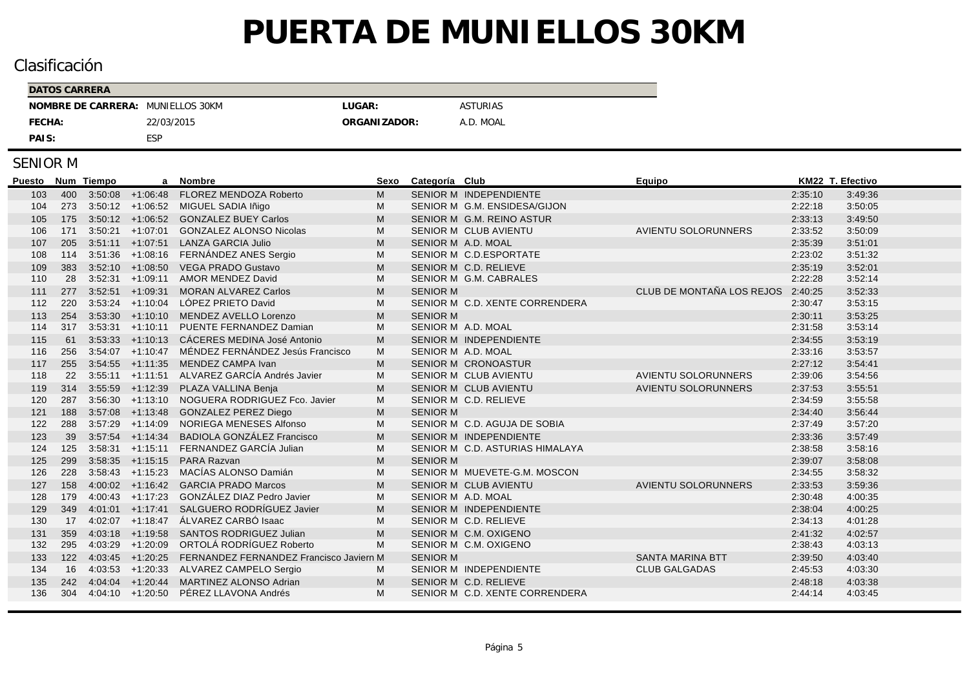## Clasificación

| DATOS CARRERA                     |            |               |                 |
|-----------------------------------|------------|---------------|-----------------|
| NOMBRE DE CARRERA: MUNIELLOS 30KM |            | LUGAR:        | <b>ASTURIAS</b> |
| FECHA:                            | 22/03/2015 | ORGANI ZADOR: | A.D. MOAL       |
| PAIS:                             | <b>ESP</b> |               |                 |

| <b>Puesto</b> |     | Num Tiempo | a                    | <b>Nombre</b>                                  | Sexo | Categoría Club     |                                 | Equipo                     | KM22 T. Efectivo |         |
|---------------|-----|------------|----------------------|------------------------------------------------|------|--------------------|---------------------------------|----------------------------|------------------|---------|
| 103           |     |            |                      | 400 3:50:08 +1:06:48 FLOREZ MENDOZA Roberto    | м    |                    | SENIOR M INDEPENDIENTE          |                            | 2:35:10          | 3:49:36 |
| 104           |     |            | 273 3:50:12 +1:06:52 | MIGUEL SADIA Iñigo                             | м    |                    | SENIOR M G.M. ENSIDESA/GIJON    |                            | 2:22:18          | 3:50:05 |
| 105           |     |            |                      | 175 3:50:12 +1:06:52 GONZALEZ BUEY Carlos      | М    |                    | SENIOR M G.M. REINO ASTUR       |                            | 2:33:13          | 3:49:50 |
| 106           | 171 |            | $3:50:21 +1:07:01$   | <b>GONZALEZ ALONSO Nicolas</b>                 | м    |                    | SENIOR M CLUB AVIENTU           | <b>AVIENTU SOLORUNNERS</b> | 2:33:52          | 3:50:09 |
| 107           | 205 |            | $3:51:11 +1:07:51$   | <b>LANZA GARCIA Julio</b>                      | M    | SENIOR M A.D. MOAL |                                 |                            | 2:35:39          | 3:51:01 |
| 108           | 114 |            |                      | 3:51:36 +1:08:16 FERNÁNDEZ ANES Sergio         | M    |                    | SENIOR M C.D.ESPORTATE          |                            | 2:23:02          | 3:51:32 |
| 109           | 383 |            |                      | 3:52:10 +1:08:50 VEGA PRADO Gustavo            | М    |                    | SENIOR M C.D. RELIEVE           |                            | 2:35:19          | 3:52:01 |
| 110           | 28  |            |                      | 3:52:31 +1:09:11 AMOR MENDEZ David             | м    |                    | SENIOR M G.M. CABRALES          |                            | 2:22:28          | 3:52:14 |
| 111           | 277 | 3:52:51    | $+1:09:31$           | <b>MORAN ALVAREZ Carlos</b>                    | M    | <b>SENIOR M</b>    |                                 | CLUB DE MONTAÑA LOS REJOS  | 2:40:25          | 3:52:33 |
| 112           | 220 | 3:53:24    | $+1:10:04$           | LÓPEZ PRIETO David                             | M    |                    | SENIOR M C.D. XENTE CORRENDERA  |                            | 2:30:47          | 3:53:15 |
| 113           | 254 |            | $3:53:30 +1:10:10$   | MENDEZ AVELLO Lorenzo                          | M    | <b>SENIOR M</b>    |                                 |                            | 2:30:11          | 3:53:25 |
| 114           | 317 |            | $3:53:31 +1:10:11$   | PUENTE FERNANDEZ Damian                        | м    | SENIOR M A.D. MOAL |                                 |                            | 2:31:58          | 3:53:14 |
| 115           | 61  |            | $3:53:33 +1:10:13$   | CÁCERES MEDINA José Antonio                    | M    |                    | SENIOR M INDEPENDIENTE          |                            | 2:34:55          | 3:53:19 |
| 116           | 256 |            | $3:54:07$ +1:10:47   | MÉNDEZ FERNÁNDEZ Jesús Francisco               | M    | SENIOR M A.D. MOAL |                                 |                            | 2:33:16          | 3:53:57 |
| 117           | 255 |            | $3:54:55$ $+1:11:35$ | MENDEZ CAMPA Ivan                              | M    |                    | SENIOR M CRONOASTUR             |                            | 2:27:12          | 3:54:41 |
| 118           | 22  |            |                      | 3:55:11 +1:11:51 ALVAREZ GARCÍA Andrés Javier  | M    |                    | SENIOR M CLUB AVIENTU           | <b>AVIENTU SOLORUNNERS</b> | 2:39:06          | 3:54:56 |
| 119           | 314 |            |                      | 3:55:59 +1:12:39 PLAZA VALLINA Benja           | M    |                    | SENIOR M CLUB AVIENTU           | <b>AVIENTU SOLORUNNERS</b> | 2:37:53          | 3:55:51 |
| 120           | 287 |            |                      | 3:56:30 +1:13:10 NOGUERA RODRIGUEZ Fco. Javier | M    |                    | SENIOR M C.D. RELIEVE           |                            | 2:34:59          | 3:55:58 |
| 121           | 188 |            | $3.57:08$ +1:13:48   | <b>GONZALEZ PEREZ Diego</b>                    | M    | <b>SENIOR M</b>    |                                 |                            | 2:34:40          | 3:56:44 |
| 122           | 288 | 3:57:29    | $+1:14:09$           | NORIEGA MENESES Alfonso                        | м    |                    | SENIOR M C.D. AGUJA DE SOBIA    |                            | 2:37:49          | 3:57:20 |
| 123           | 39  |            | $3:57:54$ +1:14:34   | <b>BADIOLA GONZÁLEZ Francisco</b>              | M    |                    | SENIOR M INDEPENDIENTE          |                            | 2:33:36          | 3:57:49 |
| 124           | 125 |            |                      | 3:58:31 +1:15:11 FERNANDEZ GARCÍA Julian       | М    |                    | SENIOR M C.D. ASTURIAS HIMALAYA |                            | 2:38:58          | 3:58:16 |
| 125           | 299 |            |                      | 3:58:35 +1:15:15 PARA Razvan                   | M    | <b>SENIOR M</b>    |                                 |                            | 2:39:07          | 3:58:08 |
| 126           | 228 |            | $3:58:43$ +1:15:23   | MACÍAS ALONSO Damián                           | M    |                    | SENIOR M MUEVETE-G.M. MOSCON    |                            | 2:34:55          | 3:58:32 |
| 127           | 158 |            |                      | 4:00:02 +1:16:42 GARCIA PRADO Marcos           | M    |                    | SENIOR M CLUB AVIENTU           | <b>AVIENTU SOLORUNNERS</b> | 2:33:53          | 3:59:36 |
| 128           | 179 |            | $4:00:43$ $+1:17:23$ | GONZÁLEZ DIAZ Pedro Javier                     | М    | SENIOR M A.D. MOAL |                                 |                            | 2:30:48          | 4:00:35 |
| 129           | 349 |            | $4:01:01$ $+1:17:41$ | SALGUERO RODRÍGUEZ Javier                      | M    |                    | SENIOR M INDEPENDIENTE          |                            | 2:38:04          | 4:00:25 |
| 130           | 17  |            | $4:02:07$ $+1:18:47$ | ÁLVAREZ CARBÓ Isaac                            | M    |                    | SENIOR M C.D. RELIEVE           |                            | 2:34:13          | 4:01:28 |
| 131           | 359 | 4:03:18    | $+1:19:58$           | SANTOS RODRIGUEZ Julian                        | M    |                    | SENIOR M C.M. OXIGENO           |                            | 2:41:32          | 4:02:57 |
| 132           | 295 | 4:03:29    | $+1:20:09$           | ORTOLÁ RODRÍGUEZ Roberto                       | М    |                    | SENIOR M C.M. OXIGENO           |                            | 2:38:43          | 4:03:13 |
| 133           | 122 |            | $4:03:45$ $+1:20:25$ | FERNANDEZ FERNANDEZ Francisco Javiern M        |      | <b>SENIOR M</b>    |                                 | <b>SANTA MARINA BTT</b>    | 2:39:50          | 4:03:40 |
| 134           | 16  |            |                      | 4:03:53 +1:20:33 ALVAREZ CAMPELO Sergio        | м    |                    | SENIOR M INDEPENDIENTE          | <b>CLUB GALGADAS</b>       | 2:45:53          | 4:03:30 |
| 135           | 242 |            | $4:04:04$ $+1:20:44$ | MARTINEZ ALONSO Adrian                         | M    |                    | SENIOR M C.D. RELIEVE           |                            | 2:48:18          | 4:03:38 |
| 136           | 304 |            |                      | 4:04:10 +1:20:50 PÉREZ LLAVONA Andrés          | M    |                    | SENIOR M C.D. XENTE CORRENDERA  |                            | 2:44:14          | 4:03:45 |
|               |     |            |                      |                                                |      |                    |                                 |                            |                  |         |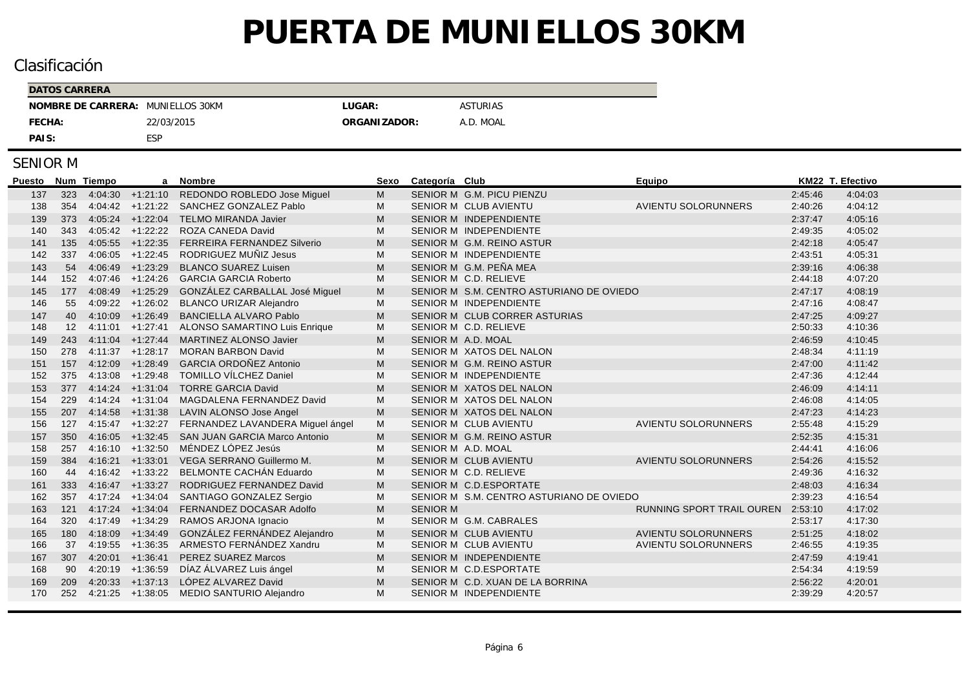## Clasificación

| DATOS CARRERA                     |            |               |                 |
|-----------------------------------|------------|---------------|-----------------|
| NOMBRE DE CARRERA: MUNIELLOS 30KM |            | LUGAR:        | <b>ASTURIAS</b> |
| FECHA:                            | 22/03/2015 | ORGANI ZADOR: | A.D. MOAL       |
| PAIS:                             | <b>ESP</b> |               |                 |

| <b>Puesto</b> |                   | Num Tiempo | a                    | <b>Nombre</b>                                  | <b>Sexo</b> | Categoría Club     |                                          | Equipo                     |         | KM22 T. Efectivo |
|---------------|-------------------|------------|----------------------|------------------------------------------------|-------------|--------------------|------------------------------------------|----------------------------|---------|------------------|
| 137           | 323               |            |                      | 4:04:30 +1:21:10 REDONDO ROBLEDO Jose Miguel   | M           |                    | SENIOR M G.M. PICU PIENZU                |                            | 2:45:46 | 4:04:03          |
| 138           | 354               | 4:04:42    | $+1:21:22$           | SANCHEZ GONZALEZ Pablo                         | M           |                    | <b>SENIOR M CLUB AVIENTU</b>             | <b>AVIENTU SOLORUNNERS</b> | 2:40:26 | 4:04:12          |
| 139           | 373               |            | $4.05:24$ $+1:22:04$ | <b>TELMO MIRANDA Javier</b>                    | М           |                    | <b>SENIOR M INDEPENDIENTE</b>            |                            | 2:37:47 | 4:05:16          |
| 140           | 343               |            | $4:05:42$ $+1:22:22$ | ROZA CANEDA David                              | М           |                    | SENIOR M INDEPENDIENTE                   |                            | 2:49:35 | 4:05:02          |
| 141           | 135               |            | $4:05:55$ $+1:22:35$ | <b>FERREIRA FERNANDEZ Silverio</b>             | M           |                    | SENIOR M G.M. REINO ASTUR                |                            | 2:42:18 | 4:05:47          |
| 142           | 337               |            | $4:06:05$ $+1:22:45$ | RODRIGUEZ MUÑIZ Jesus                          | м           |                    | SENIOR M INDEPENDIENTE                   |                            | 2:43:51 | 4:05:31          |
| 143           | 54                |            | $4:06:49$ $+1:23:29$ | <b>BLANCO SUAREZ Luisen</b>                    | M           |                    | SENIOR M G.M. PEÑA MEA                   |                            | 2:39:16 | 4:06:38          |
| 144           | 152               |            | 4:07:46 +1:24:26     | <b>GARCIA GARCIA Roberto</b>                   | М           |                    | SENIOR M C.D. RELIEVE                    |                            | 2:44:18 | 4:07:20          |
| 145           | 177               |            | $4:08:49$ $+1:25:29$ | GONZÁLEZ CARBALLAL José Miguel                 | M           |                    | SENIOR M S.M. CENTRO ASTURIANO DE OVIEDO |                            | 2:47:17 | 4:08:19          |
| 146           | 55                |            | $4:09:22 +1:26:02$   | <b>BLANCO URIZAR Alejandro</b>                 | М           |                    | SENIOR M INDEPENDIENTE                   |                            | 2:47:16 | 4:08:47          |
| 147           | 40                | 4:10:09    | $+1:26:49$           | <b>BANCIELLA ALVARO Pablo</b>                  | M           |                    | SENIOR M CLUB CORRER ASTURIAS            |                            | 2:47:25 | 4:09:27          |
| 148           | $12 \overline{ }$ | 4:11:01    | $+1:27:41$           | ALONSO SAMARTINO Luis Enrique                  | M           |                    | SENIOR M C.D. RELIEVE                    |                            | 2:50:33 | 4:10:36          |
| 149           | 243               |            | $4:11:04$ $+1:27:44$ | <b>MARTINEZ ALONSO Javier</b>                  | M           | SENIOR M A.D. MOAL |                                          |                            | 2:46.59 | 4:10:45          |
| 150           | 278               |            | $4:11:37$ $+1:28:17$ | <b>MORAN BARBON David</b>                      | M           |                    | SENIOR M XATOS DEL NALON                 |                            | 2:48:34 | 4:11:19          |
| 151           | 157               |            | $4:12:09$ $+1:28:49$ | <b>GARCIA ORDOÑEZ Antonio</b>                  | M           |                    | SENIOR M G.M. REINO ASTUR                |                            | 2:47:00 | 4:11:42          |
| 152           | 375               |            |                      | 4:13:08 +1:29:48 TOMILLO VÍLCHEZ Daniel        | M           |                    | SENIOR M INDEPENDIENTE                   |                            | 2:47:36 | 4:12:44          |
| 153           | 377               |            |                      | 4:14:24 +1:31:04 TORRE GARCIA David            | M           |                    | SENIOR M XATOS DEL NALON                 |                            | 2:46:09 | 4:14:11          |
| 154           | 229               |            | $4:14:24$ +1:31:04   | MAGDALENA FERNANDEZ David                      | М           |                    | SENIOR M XATOS DEL NALON                 |                            | 2:46:08 | 4:14:05          |
| 155           | 207               |            | $4:14:58$ $+1:31:38$ | <b>LAVIN ALONSO Jose Angel</b>                 | M           |                    | SENIOR M XATOS DEL NALON                 |                            | 2:47:23 | 4:14:23          |
| 156           | 127               |            | $4:15.47$ $+1:32.27$ | FERNANDEZ LAVANDERA Miguel ángel               | М           |                    | <b>SENIOR M CLUB AVIENTU</b>             | <b>AVIENTU SOLORUNNERS</b> | 2:55:48 | 4:15:29          |
| 157           | 350               |            |                      | 4:16:05 +1:32:45 SAN JUAN GARCIA Marco Antonio | M           |                    | SENIOR M G.M. REINO ASTUR                |                            | 2:52:35 | 4:15:31          |
| 158           | 257               |            | $4:16:10 +1:32:50$   | MÉNDEZ LÓPEZ Jesús                             | м           | SENIOR M A.D. MOAL |                                          |                            | 2:44:41 | 4:16:06          |
| 159           | 384               | 4:16:21    | $+1:33:01$           | VEGA SERRANO Guillermo M.                      | M           |                    | <b>SENIOR M CLUB AVIENTU</b>             | <b>AVIENTU SOLORUNNERS</b> | 2:54:26 | 4:15:52          |
| 160           | 44                |            | $4:16:42 +1:33:22$   | BELMONTE CACHÁN Eduardo                        | M           |                    | SENIOR M C.D. RELIEVE                    |                            | 2:49:36 | 4:16:32          |
| 161           | 333               |            | $4:16:47$ $+1:33:27$ | RODRIGUEZ FERNANDEZ David                      | M           |                    | SENIOR M C.D.ESPORTATE                   |                            | 2:48:03 | 4:16:34          |
| 162           | 357               |            | $4:17:24$ $+1:34:04$ | SANTIAGO GONZALEZ Sergio                       | М           |                    | SENIOR M S.M. CENTRO ASTURIANO DE OVIEDO |                            | 2:39:23 | 4:16:54          |
| 163           | 121               | 4:17:24    | $+1:34:04$           | FERNANDEZ DOCASAR Adolfo                       | M           | <b>SENIOR M</b>    |                                          | RUNNING SPORT TRAIL OUREN  | 2:53:10 | 4:17:02          |
| 164           | 320               | 4:17:49    | $+1:34:29$           | RAMOS ARJONA Ignacio                           | M           |                    | SENIOR M G.M. CABRALES                   |                            | 2:53:17 | 4:17:30          |
| 165           | 180               | 4:18:09    | $+1:34:49$           | GONZÁLEZ FERNÁNDEZ Alejandro                   | M           |                    | <b>SENIOR M CLUB AVIENTU</b>             | AVIENTU SOLORUNNERS        | 2:51:25 | 4:18:02          |
| 166           | 37                |            | $4:19:55$ +1:36:35   | ARMESTO FERNÁNDEZ Xandru                       | М           |                    | SENIOR M CLUB AVIENTU                    | AVIENTU SOLORUNNERS        | 2:46:55 | 4:19:35          |
| 167           | 307               | 4:20:01    | $+1:36:41$           | <b>PEREZ SUAREZ Marcos</b>                     | M           |                    | SENIOR M INDEPENDIENTE                   |                            | 2:47:59 | 4:19:41          |
| 168           | 90                | 4:20:19    | $+1:36:59$           | DÍAZ ÁLVAREZ Luis ángel                        | М           |                    | SENIOR M C.D.ESPORTATE                   |                            | 2:54:34 | 4:19:59          |
| 169           | 209               |            | $4:20:33 +1:37:13$   | LÓPEZ ALVAREZ David                            | M           |                    | SENIOR M C.D. XUAN DE LA BORRINA         |                            | 2:56:22 | 4:20:01          |
| 170           | 252               |            | $4:21:25$ $+1:38:05$ | MEDIO SANTURIO Alejandro                       | M           |                    | SENIOR M INDEPENDIENTE                   |                            | 2:39:29 | 4:20:57          |
|               |                   |            |                      |                                                |             |                    |                                          |                            |         |                  |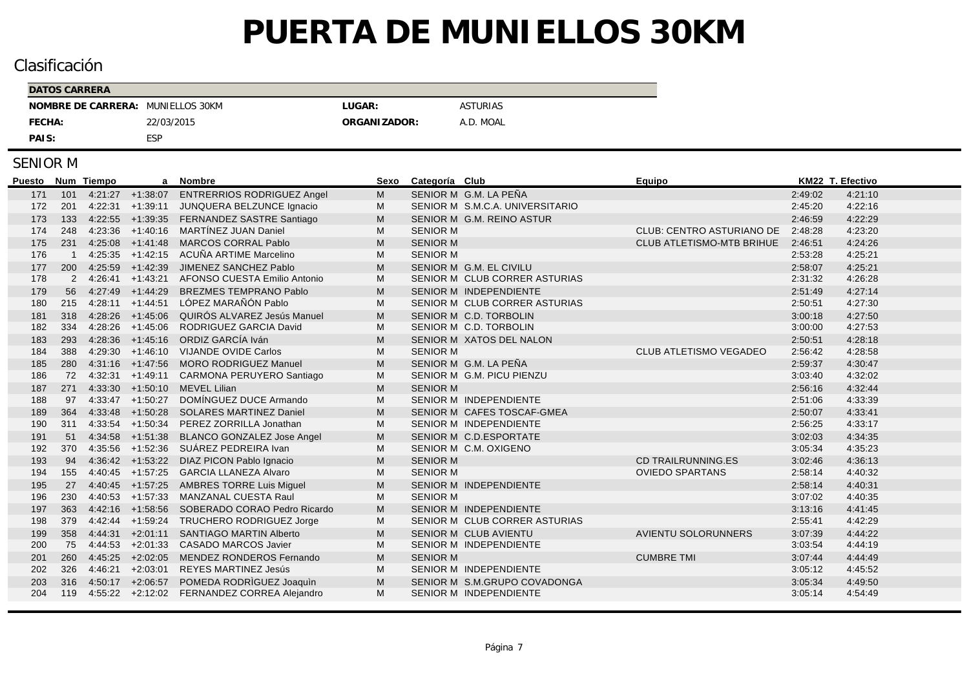## Clasificación

| <b>DATOS CARRERA</b> |                |              |                 |
|----------------------|----------------|--------------|-----------------|
| NOMBRE DE CARRERA:   | MUNIELLOS 30KM | LUGAR:       | <b>ASTURIAS</b> |
| FECHA:               | 22/03/2015     | ORGANIZADOR: | A.D. MOAL       |
| PAIS:                | <b>ESP</b>     |              |                 |

| Puesto |     | Num Tiempo |                      | a Nombre                                        | Sexo | Categoría Club          |                                 | Equipo                           |         | KM22 T. Efectivo |
|--------|-----|------------|----------------------|-------------------------------------------------|------|-------------------------|---------------------------------|----------------------------------|---------|------------------|
| 171    | 101 |            |                      | 4:21:27 +1:38:07 ENTRERRIOS RODRIGUEZ Angel     | M    | SENIOR M G.M. LA PEÑA   |                                 |                                  | 2:49:02 | 4:21:10          |
| 172    | 201 |            | $4:22:31$ $+1:39:11$ | JUNQUERA BELZUNCE Ignacio                       | M    |                         | SENIOR M S.M.C.A. UNIVERSITARIO |                                  | 2:45:20 | 4:22:16          |
| 173    | 133 |            |                      | 4:22:55 +1:39:35 FERNANDEZ SASTRE Santiago      | M    |                         | SENIOR M G.M. REINO ASTUR       |                                  | 2:46:59 | 4:22:29          |
| 174    | 248 |            |                      | 4:23:36 +1:40:16 MARTÍNEZ JUAN Daniel           | M    | <b>SENIOR M</b>         |                                 | <b>CLUB: CENTRO ASTURIANO DE</b> | 2:48:28 | 4:23:20          |
| 175    | 231 |            | $4:25:08$ +1:41:48   | <b>MARCOS CORRAL Pablo</b>                      | M    | <b>SENIOR M</b>         |                                 | CLUB ATLETISMO-MTB BRIHUE        | 2:46:51 | 4:24:26          |
| 176    |     |            | $4:25:35$ $+1:42:15$ | ACUÑA ARTIME Marcelino                          | М    | <b>SENIOR M</b>         |                                 |                                  | 2:53:28 | 4:25:21          |
| 177    | 200 |            | $4:25:59$ $+1:42:39$ | JIMENEZ SANCHEZ Pablo                           | M    | SENIOR M G.M. EL CIVILU |                                 |                                  | 2:58:07 | 4:25:21          |
| 178    |     |            |                      | 2 4:26:41 +1:43:21 AFONSO CUESTA Emilio Antonio | M    |                         | SENIOR M CLUB CORRER ASTURIAS   |                                  | 2:31:32 | 4:26:28          |
| 179    | 56  |            | $4:27:49$ $+1:44:29$ | <b>BREZMES TEMPRANO Pablo</b>                   | M    |                         | SENIOR M INDEPENDIENTE          |                                  | 2:51:49 | 4:27:14          |
| 180    | 215 | 4:28:11    | $+1.44:51$           | LÓPEZ MARAÑÓN Pablo                             | M    |                         | SENIOR M CLUB CORRER ASTURIAS   |                                  | 2:50:51 | 4:27:30          |
| 181    | 318 |            | $4:28:26$ $+1:45:06$ | QUIRÓS ALVAREZ Jesús Manuel                     | M    | SENIOR M C.D. TORBOLIN  |                                 |                                  | 3:00:18 | 4:27:50          |
| 182    | 334 |            | $4:28:26$ +1:45:06   | RODRIGUEZ GARCIA David                          | M    | SENIOR M C.D. TORBOLIN  |                                 |                                  | 3:00:00 | 4:27:53          |
| 183    | 293 |            | $4:28:36$ $+1:45:16$ | ORDIZ GARCÍA Iván                               | M    |                         | SENIOR M XATOS DEL NALON        |                                  | 2:50:51 | 4:28:18          |
| 184    | 388 |            | $4:29:30 +1:46:10$   | <b>VIJANDE OVIDE Carlos</b>                     | M    | <b>SENIOR M</b>         |                                 | <b>CLUB ATLETISMO VEGADEO</b>    | 2:56:42 | 4:28:58          |
| 185    | 280 |            |                      | 4:31:16 +1:47:56 MORO RODRIGUEZ Manuel          | M    | SENIOR M G.M. LA PEÑA   |                                 |                                  | 2:59:37 | 4:30:47          |
| 186    | 72  |            | $4:32:31$ $+1:49:11$ | CARMONA PERUYERO Santiago                       | M    |                         | SENIOR M G.M. PICU PIENZU       |                                  | 3:03:40 | 4:32:02          |
| 187    | 271 |            |                      | 4:33:30 +1:50:10 MEVEL Lilian                   | M    | <b>SENIOR M</b>         |                                 |                                  | 2:56:16 | 4:32:44          |
| 188    | 97  |            | $4:33:47$ $+1:50:27$ | DOMÍNGUEZ DUCE Armando                          | М    |                         | SENIOR M INDEPENDIENTE          |                                  | 2:51:06 | 4:33:39          |
| 189    | 364 |            |                      | 4:33:48 +1:50:28 SOLARES MARTINEZ Daniel        | M    |                         | SENIOR M CAFES TOSCAF-GMEA      |                                  | 2:50:07 | 4:33:41          |
| 190    | 311 |            |                      | 4:33:54 +1:50:34 PEREZ ZORRILLA Jonathan        | M    |                         | <b>SENIOR M INDEPENDIENTE</b>   |                                  | 2:56:25 | 4:33:17          |
| 191    | 51  |            | $4:34:58$ $+1:51:38$ | BLANCO GONZALEZ Jose Angel                      | M    |                         | SENIOR M C.D.ESPORTATE          |                                  | 3:02:03 | 4:34:35          |
| 192    |     |            |                      | 370 4:35:56 +1:52:36 SUÁREZ PEDREIRA Ivan       | M    | SENIOR M C.M. OXIGENO   |                                 |                                  | 3:05:34 | 4:35:23          |
| 193    | 94  |            | $4:36:42$ $+1:53:22$ | DIAZ PICON Pablo Ignacio                        | M    | <b>SENIOR M</b>         |                                 | <b>CD TRAILRUNNING.ES</b>        | 3:02:46 | 4:36:13          |
| 194    | 155 |            |                      | 4:40:45 +1:57:25 GARCIA LLANEZA Alvaro          | M    | <b>SENIOR M</b>         |                                 | <b>OVIEDO SPARTANS</b>           | 2:58:14 | 4:40:32          |
| 195    | 27  |            | $4:40.45$ $+1:57:25$ | <b>AMBRES TORRE Luis Miquel</b>                 | M    |                         | SENIOR M INDEPENDIENTE          |                                  | 2:58:14 | 4:40:31          |
| 196    | 230 |            |                      | 4:40:53 +1:57:33 MANZANAL CUESTA Raul           | M    | <b>SENIOR M</b>         |                                 |                                  | 3:07:02 | 4:40:35          |
| 197    | 363 |            | $4:42:16$ +1:58:56   | SOBERADO CORAO Pedro Ricardo                    | M    |                         | SENIOR M INDEPENDIENTE          |                                  | 3:13:16 | 4:41:45          |
| 198    | 379 |            | $4:42:44$ $+1:59:24$ | TRUCHERO RODRIGUEZ Jorge                        | М    |                         | SENIOR M CLUB CORRER ASTURIAS   |                                  | 2:55:41 | 4:42:29          |
| 199    | 358 | 4:44:31    | $+2:01:11$           | SANTIAGO MARTIN Alberto                         | M    | SENIOR M CLUB AVIENTU   |                                 | <b>AVIENTU SOLORUNNERS</b>       | 3:07:39 | 4:44:22          |
| 200    | 75  |            | $4:44:53$ $+2:01:33$ | <b>CASADO MARCOS Javier</b>                     | М    |                         | SENIOR M INDEPENDIENTE          |                                  | 3:03:54 | 4:44:19          |
| 201    | 260 |            | $4:45:25$ $+2:02:05$ | MENDEZ RONDEROS Fernando                        | M    | <b>SENIOR M</b>         |                                 | <b>CUMBRE TMI</b>                | 3:07:44 | 4:44:49          |
| 202    | 326 | 4:46:21    | $+2:03:01$           | REYES MARTINEZ Jesús                            | M    |                         | SENIOR M INDEPENDIENTE          |                                  | 3:05:12 | 4:45:52          |
| 203    | 316 |            |                      | 4:50:17 +2:06:57 POMEDA RODRIGUEZ Joaquin       | M    |                         | SENIOR M S.M.GRUPO COVADONGA    |                                  | 3:05:34 | 4:49:50          |
| 204    |     |            |                      | 119 4:55:22 +2:12:02 FERNANDEZ CORREA Alejandro | M    |                         | SENIOR M INDEPENDIENTE          |                                  | 3:05:14 | 4:54:49          |
|        |     |            |                      |                                                 |      |                         |                                 |                                  |         |                  |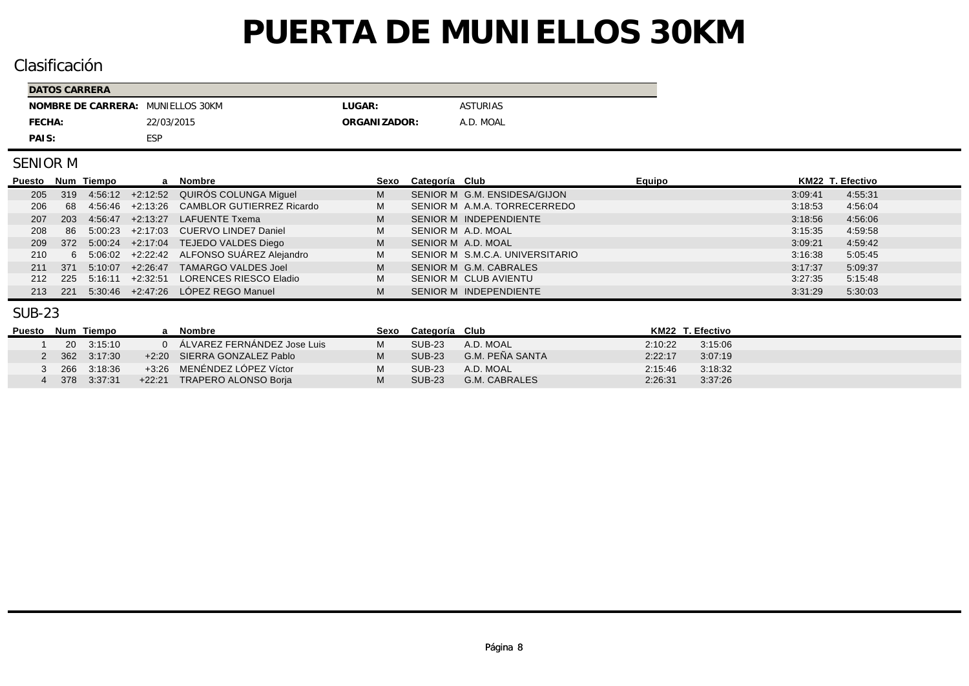## Clasificación

| DATOS CARRERA                     |            |              |                 |  |  |  |  |  |
|-----------------------------------|------------|--------------|-----------------|--|--|--|--|--|
| NOMBRE DE CARRERA: MUNIELLOS 30KM |            | LUGAR:       | <b>ASTURIAS</b> |  |  |  |  |  |
| FECHA:                            | 22/03/2015 | ORGANIZADOR: | A.D. MOAL       |  |  |  |  |  |
| PAIS:                             | ESP        |              |                 |  |  |  |  |  |

#### SENIOR M

| Puesto Num Tiempo |      |         |            | a Nombre                                    | Sexo | Categoría Club                  | Equipo | KM22 T. Efectivo |         |
|-------------------|------|---------|------------|---------------------------------------------|------|---------------------------------|--------|------------------|---------|
| 205               | 319  |         |            | 4:56:12 +2:12:52 QUIRÓS COLUNGA Miguel      | M    | SENIOR M G.M. ENSIDESA/GIJON    |        | 3:09:41          | 4:55:31 |
| 206               | 68   |         |            | 4:56:46 +2:13:26 CAMBLOR GUTIERREZ Ricardo  | м    | SENIOR M A.M.A. TORRECERREDO    |        | 3:18:53          | 4:56:04 |
| 207               | 203  |         |            | 4.56.47 +2.13.27 LAFUENTE Txema             | M    | SENIOR M INDEPENDIENTE          |        | 3:18:56          | 4:56:06 |
| 208               |      |         |            | 86 5:00:23 +2:17:03 CUERVO LINDE7 Daniel    | M    | SENIOR M A.D. MOAL              |        | 3:15:35          | 4:59:58 |
| 209               |      |         |            | 372 5:00:24 +2:17:04 TEJEDO VALDES Diego    | M    | SENIOR M A.D. MOAL              |        | 3:09:21          | 4:59:42 |
| 210               |      |         |            | 6 5:06:02 +2:22:42 ALFONSO SUAREZ Alejandro | M    | SENIOR M S.M.C.A. UNIVERSITARIO |        | 3:16:38          | 5:05:45 |
| 211               | -371 | 5:10:07 | $+2.26.47$ | TAMARGO VALDES Joel                         | M    | SENIOR M G.M. CABRALES          |        | 3:17:37          | 5:09:37 |
| 212               | -225 |         |            | 5:16:11 +2:32:51 LORENCES RIESCO Eladio     | M    | SENIOR M CLUB AVIENTU           |        | 3:27:35          | 5:15:48 |
| 213               | -221 |         |            | $5.30.46$ $+2.47.26$ LÓPEZ REGO Manuel      | M    | SENIOR M INDEPENDIENTE          |        | 3:31:29          | 5:30:03 |

#### SUB-23

| Puesto Num Tiempo |             | Nombre                        | Sexo Categoría Club |                 |         | KM22 T. Efectivo |
|-------------------|-------------|-------------------------------|---------------------|-----------------|---------|------------------|
|                   | 20 3:15:10  | 0 ALVAREZ FERNANDEZ Jose Luis | SUB-23              | A.D. MOAL       | 2:10:22 | 3:15:06          |
|                   | 362 3:17:30 | +2:20 SIERRA GONZALEZ Pablo   | <b>SUB-23</b>       | G.M. PEÑA SANTA | 2:22:17 | 3.07:19          |
|                   | 266 3:18:36 | +3:26 MENENDEZ LOPEZ Víctor   | <b>SUB-23</b>       | A.D. MOAL       | 2:15:46 | 3:18:32          |
|                   | 378 3:37:31 | +22:21 TRAPERO ALONSO Borja   | <b>SUB-23</b>       | G.M. CABRALES   | 2:26:31 | 3:37:26          |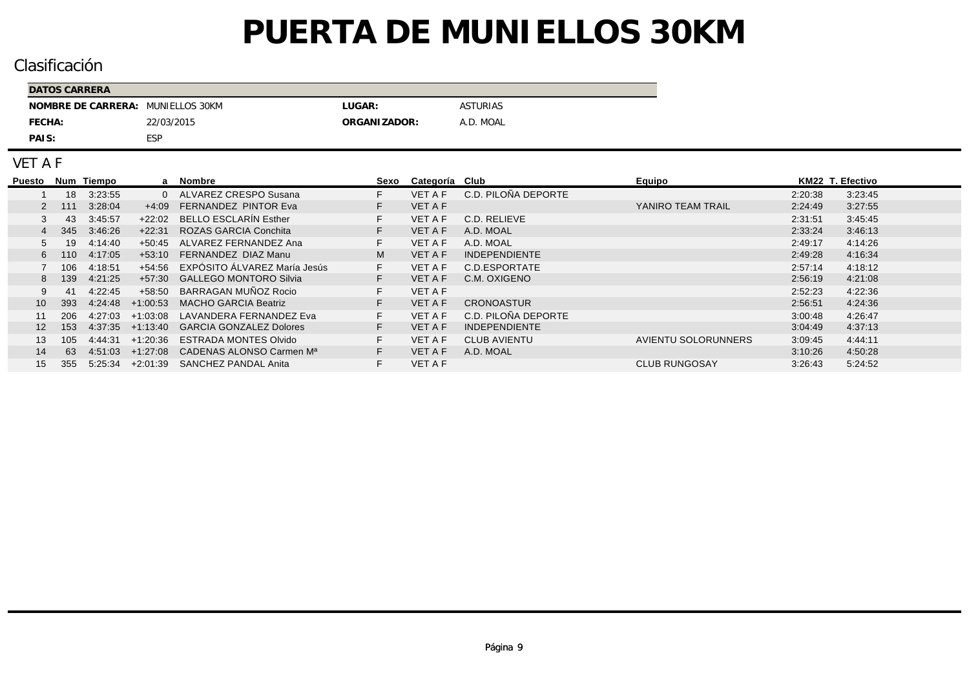## Clasificación

| DATOS CARRERA                     |            |              |                 |  |  |  |  |  |
|-----------------------------------|------------|--------------|-----------------|--|--|--|--|--|
| NOMBRE DE CARRERA: MUNIELLOS 30KM |            | LUGAR:       | <b>ASTURIAS</b> |  |  |  |  |  |
| FECHA:                            | 22/03/2015 | ORGANIZADOR: | A.D. MOAL       |  |  |  |  |  |
| PAIS:                             | <b>ESP</b> |              |                 |  |  |  |  |  |

VET A F

| Puesto          |       | Num Tiempo |            | a Nombre                             | Sexo | Categoría Club |                      | Equipo                     | KM22 T. Efectivo |         |
|-----------------|-------|------------|------------|--------------------------------------|------|----------------|----------------------|----------------------------|------------------|---------|
|                 | 18    | 3:23:55    | $\Omega$   | ALVAREZ CRESPO Susana                |      | <b>VET A F</b> | C.D. PILOÑA DEPORTE  |                            | 2:20:38          | 3:23:45 |
|                 | 2 111 | 3:28:04    | $+4:09$    | <b>FERNANDEZ PINTOR Eva</b>          |      | <b>VET A F</b> |                      | YANIRO TEAM TRAIL          | 2:24:49          | 3:27:55 |
|                 | 43    | 3:45:57    | $+22:02$   | <b>BELLO ESCLARÍN Esther</b>         |      | <b>VET A F</b> | C.D. RELIEVE         |                            | 2:31:51          | 3:45:45 |
|                 | 345   | 3:46:26    | $+22:31$   | ROZAS GARCIA Conchita                |      | <b>VET A F</b> | A.D. MOAL            |                            | 2:33:24          | 3:46:13 |
|                 | 19    | 4:14:40    | $+50.45$   | ALVAREZ FERNANDEZ Ana                |      | VET A F        | A.D. MOAL            |                            | 2:49:17          | 4:14:26 |
| 6               | 110   | 4:17:05    | $+53.10$   | FERNANDEZ DIAZ Manu                  | M    | <b>VET A F</b> | <b>INDEPENDIENTE</b> |                            | 2:49:28          | 4:16:34 |
|                 | 106   | 4:18:51    | $+54.56$   | EXPÓSITO ÁLVAREZ María Jesús         |      | <b>VET A F</b> | C.D.ESPORTATE        |                            | 2:57:14          | 4:18:12 |
|                 | 8 139 | 4:21:25    | $+57:30$   | <b>GALLEGO MONTORO Silvia</b>        |      | <b>VET A F</b> | C.M. OXIGENO         |                            | 2:56:19          | 4:21:08 |
|                 | 41    | 4:22:45    | $+58:50$   | BARRAGAN MUÑOZ Rocio                 |      | <b>VET A F</b> |                      |                            | 2:52:23          | 4:22:36 |
| 10 <sup>1</sup> | 393   | 4.24.48    | $+1:00:53$ | <b>MACHO GARCIA Beatriz</b>          |      | <b>VET A F</b> | <b>CRONOASTUR</b>    |                            | 2:56:51          | 4:24:36 |
|                 | 206   | 4:27:03    | $+1.03.08$ | LAVANDERA FERNANDEZ Eva              |      | <b>VET A F</b> | C.D. PILOÑA DEPORTE  |                            | 3:00:48          | 4:26:47 |
| 12              | 153   | 4.37.35    | $+1.13.40$ | <b>GARCIA GONZALEZ Dolores</b>       |      | <b>VET A F</b> | <b>INDEPENDIENTE</b> |                            | 3:04:49          | 4:37:13 |
| 13.             | 105   | 4:44:31    | $+1:20:36$ | <b>ESTRADA MONTES Olvido</b>         |      | <b>VET A F</b> | <b>CLUB AVIENTU</b>  | <b>AVIENTU SOLORUNNERS</b> | 3:09:45          | 4:44:11 |
| 14              | 63    | 4.51.03    | $+1.27.08$ | CADENAS ALONSO Carmen M <sup>a</sup> |      | VET A F        | A.D. MOAL            |                            | 3:10:26          | 4:50:28 |
| 15              | 355   | 5:25:34    | $+2:01:39$ | <b>SANCHEZ PANDAL Anita</b>          |      | <b>VET A F</b> |                      | <b>CLUB RUNGOSAY</b>       | 3:26:43          | 5:24:52 |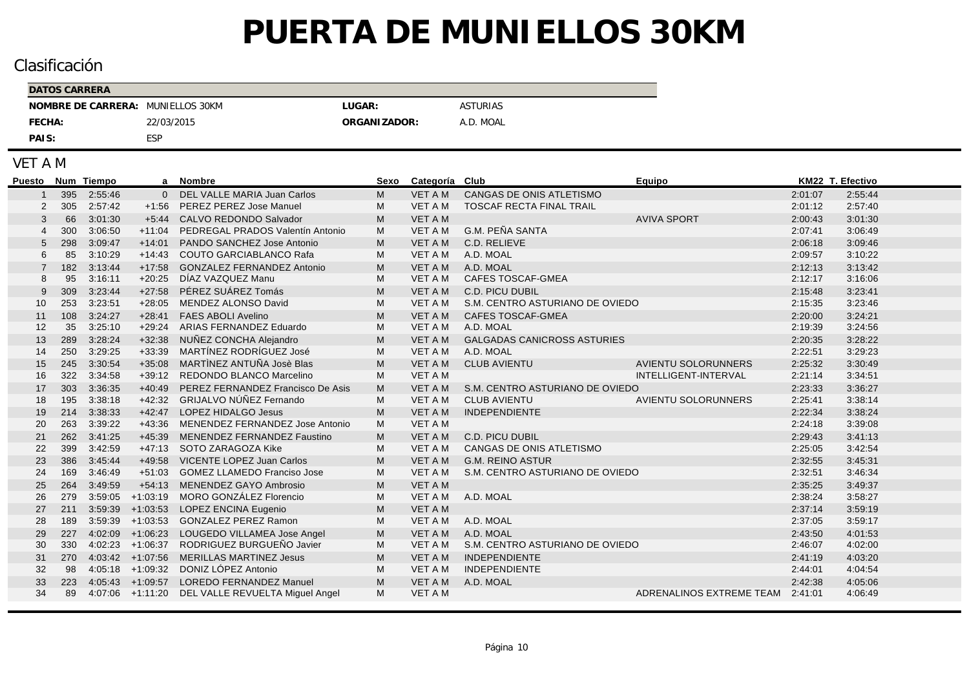## Clasificación

| DATOS CARRERA                     |            |              |                 |  |  |  |  |  |  |
|-----------------------------------|------------|--------------|-----------------|--|--|--|--|--|--|
| NOMBRE DE CARRERA: MUNIELLOS 30KM |            | LUGAR:       | <b>ASTURIAS</b> |  |  |  |  |  |  |
| FECHA:                            | 22/03/2015 | ORGANIZADOR: | A.D. MOAL       |  |  |  |  |  |  |
| PAIS:                             | ESP        |              |                 |  |  |  |  |  |  |

#### VET A M

| <b>Puesto</b> |     | Num Tiempo |                      | a Nombre                                         | Sexo | Categoría Club |                                    | Equipo                           | KM22 T. Efectivo |         |
|---------------|-----|------------|----------------------|--------------------------------------------------|------|----------------|------------------------------------|----------------------------------|------------------|---------|
|               | 395 | 2:55:46    |                      | 0 DEL VALLE MARIA Juan Carlos                    | м    | <b>VET A M</b> | CANGAS DE ONIS ATLETISMO           |                                  | 2:01:07          | 2:55:44 |
|               | 305 | 2:57:42    | $+1:56$              | PEREZ PEREZ Jose Manuel                          | м    | <b>VET A M</b> | TOSCAF RECTA FINAL TRAIL           |                                  | 2:01:12          | 2:57:40 |
| 3             | 66  | 3:01:30    | $+5.44$              | CALVO REDONDO Salvador                           | M    | <b>VET A M</b> |                                    | <b>AVIVA SPORT</b>               | 2:00:43          | 3:01:30 |
|               | 300 | 3:06:50    | $+11:04$             | PEDREGAL PRADOS Valentín Antonio                 | M    | VET A M        | G.M. PEÑA SANTA                    |                                  | 2:07:41          | 3:06:49 |
|               | 298 | 3:09:47    | $+14:01$             | PANDO SANCHEZ Jose Antonio                       | M    | <b>VET A M</b> | C.D. RELIEVE                       |                                  | 2:06:18          | 3:09:46 |
| 6             | 85  | 3:10:29    | $+14:43$             | <b>COUTO GARCIABLANCO Rafa</b>                   | M    | VET A M        | A.D. MOAL                          |                                  | 2:09:57          | 3:10:22 |
|               | 182 | 3:13:44    | $+17:58$             | <b>GONZALEZ FERNANDEZ Antonio</b>                | M    | <b>VET A M</b> | A.D. MOAL                          |                                  | 2:12:13          | 3:13:42 |
| 8             | 95  | 3:16:11    | $+20:25$             | DÍAZ VAZQUEZ Manu                                | M    | VET A M        | CAFES TOSCAF-GMEA                  |                                  | 2:12:17          | 3:16:06 |
|               | 309 | 3:23:44    | $+27:58$             | PÉREZ SUÁREZ Tomás                               | M    | <b>VET A M</b> | <b>C.D. PICU DUBIL</b>             |                                  | 2:15:48          | 3:23:41 |
| 10            | 253 | 3:23:51    | $+28:05$             | MENDEZ ALONSO David                              | M    | VET A M        | S.M. CENTRO ASTURIANO DE OVIEDO    |                                  | 2:15:35          | 3:23:46 |
| 11            | 108 | 3:24:27    | $+28:41$             | <b>FAES ABOLI Avelino</b>                        | M    | <b>VET A M</b> | <b>CAFES TOSCAF-GMEA</b>           |                                  | 2:20:00          | 3:24:21 |
| 12            | 35  | 3:25:10    | $+29:24$             | ARIAS FERNANDEZ Eduardo                          | м    | VET A M        | A.D. MOAL                          |                                  | 2:19:39          | 3:24:56 |
| 13            | 289 | 3:28:24    | $+32:38$             | NUÑEZ CONCHA Alejandro                           | M    | <b>VET A M</b> | <b>GALGADAS CANICROSS ASTURIES</b> |                                  | 2:20:35          | 3:28:22 |
| 14            | 250 | 3:29:25    | $+33:39$             | MARTÍNEZ RODRÍGUEZ José                          | M    | VET A M        | A.D. MOAL                          |                                  | 2:22:51          | 3:29:23 |
| 15            | 245 | 3:30:54    | $+35:08$             | MARTÌNEZ ANTUÑA Josè Blas                        | M    | <b>VET A M</b> | <b>CLUB AVIENTU</b>                | <b>AVIENTU SOLORUNNERS</b>       | 2:25:32          | 3:30:49 |
| 16            | 322 | 3:34:58    |                      | +39:12 REDONDO BLANCO Marcelino                  | M    | <b>VET A M</b> |                                    | INTELLIGENT-INTERVAL             | 2:21:14          | 3:34:51 |
| 17            | 303 | 3:36:35    | $+40:49$             | PEREZ FERNANDEZ Francisco De Asis                | M    | <b>VET A M</b> | S.M. CENTRO ASTURIANO DE OVIEDO    |                                  | 2:23:33          | 3:36:27 |
| 18            | 195 | 3:38:18    | $+42:32$             | <b>GRIJALVO NÚÑEZ Fernando</b>                   | M    | <b>VET A M</b> | <b>CLUB AVIENTU</b>                | <b>AVIENTU SOLORUNNERS</b>       | 2:25:41          | 3:38:14 |
| 19            | 214 | 3:38:33    | $+42:47$             | <b>LOPEZ HIDALGO Jesus</b>                       | М    | <b>VET A M</b> | <b>INDEPENDIENTE</b>               |                                  | 2:22:34          | 3:38:24 |
| 20            | 263 | 3:39:22    | $+43:36$             | MENENDEZ FERNANDEZ Jose Antonio                  | м    | <b>VET A M</b> |                                    |                                  | 2:24:18          | 3:39:08 |
| 21            | 262 | 3:41:25    | $+45:39$             | MENENDEZ FERNANDEZ Faustino                      | M    | <b>VET A M</b> | <b>C.D. PICU DUBIL</b>             |                                  | 2:29:43          | 3:41:13 |
| 22            | 399 | 3:42:59    | $+47:13$             | SOTO ZARAGOZA Kike                               | M    | <b>VET A M</b> | CANGAS DE ONIS ATLETISMO           |                                  | 2:25:05          | 3:42:54 |
| 23            | 386 | 3:45:44    | $+49:58$             | <b>VICENTE LOPEZ Juan Carlos</b>                 | M    | <b>VET A M</b> | <b>G.M. REINO ASTUR</b>            |                                  | 2:32:55          | 3:45:31 |
| 24            | 169 | 3:46:49    | $+51:03$             | <b>GOMEZ LLAMEDO Franciso Jose</b>               | M    | <b>VET A M</b> | S.M. CENTRO ASTURIANO DE OVIEDO    |                                  | 2:32:51          | 3:46:34 |
| 25            | 264 | 3:49:59    | $+54:13$             | MENENDEZ GAYO Ambrosio                           | M    | <b>VET A M</b> |                                    |                                  | 2:35:25          | 3:49:37 |
| 26            | 279 | 3:59:05    | $+1:03:19$           | MORO GONZÁLEZ Florencio                          | M    | VET A M        | A.D. MOAL                          |                                  | 2:38:24          | 3:58:27 |
| 27            | 211 | 3:59:39    | $+1:03:53$           | LOPEZ ENCINA Eugenio                             | M    | <b>VET A M</b> |                                    |                                  | 2:37:14          | 3:59:19 |
| 28            | 189 | 3:59:39    | $+1:03:53$           | <b>GONZALEZ PEREZ Ramon</b>                      | M    | VET A M        | A.D. MOAL                          |                                  | 2:37:05          | 3:59:17 |
| 29            | 227 |            | $4:02:09$ $+1:06:23$ | LOUGEDO VILLAMEA Jose Angel                      | M    | <b>VET A M</b> | A.D. MOAL                          |                                  | 2:43:50          | 4:01:53 |
| 30            | 330 |            | $4:02:23$ $+1:06:37$ | RODRIGUEZ BURGUEÑO Javier                        | М    | VET A M        | S.M. CENTRO ASTURIANO DE OVIEDO    |                                  | 2:46:07          | 4:02:00 |
| 31            | 270 |            | $4.03.42 + 1.07.56$  | <b>MERILLAS MARTINEZ Jesus</b>                   | M    | <b>VET A M</b> | <b>INDEPENDIENTE</b>               |                                  | 2:41:19          | 4:03:20 |
| 32            | 98  |            | $4:05:18$ +1:09:32   | DONIZ LÓPEZ Antonio                              | M    | <b>VET A M</b> | <b>INDEPENDIENTE</b>               |                                  | 2:44:01          | 4:04:54 |
| 33            | 223 |            |                      | 4:05:43 +1:09:57 LOREDO FERNANDEZ Manuel         | М    | VET A M        | A.D. MOAL                          |                                  | 2:42:38          | 4:05:06 |
| 34            | 89  |            |                      | 4:07:06 +1:11:20 DEL VALLE REVUELTA Miguel Angel | м    | <b>VET A M</b> |                                    | ADRENALINOS EXTREME TEAM 2:41:01 |                  | 4:06:49 |
|               |     |            |                      |                                                  |      |                |                                    |                                  |                  |         |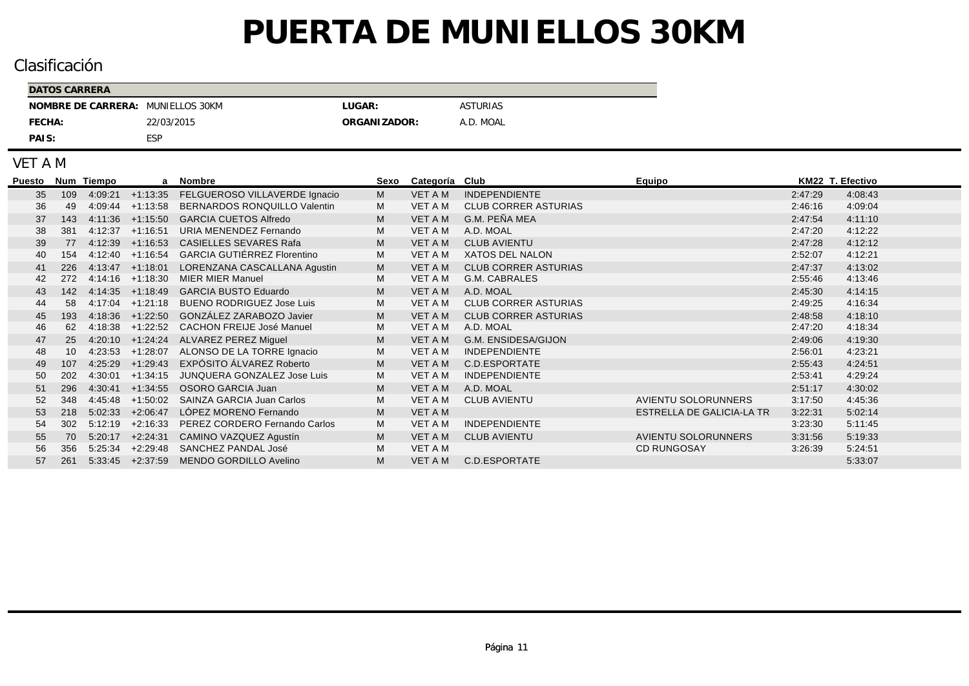## Clasificación

| DATOS CARRERA                     |            |               |                 |  |  |  |  |  |
|-----------------------------------|------------|---------------|-----------------|--|--|--|--|--|
| NOMBRE DE CARRERA: MUNIELLOS 30KM |            | LUGAR:        | <b>ASTURIAS</b> |  |  |  |  |  |
| FECHA:                            | 22/03/2015 | ORGANI ZADOR: | A.D. MOAL       |  |  |  |  |  |
| PAIS:                             | ESP        |               |                 |  |  |  |  |  |

#### VET A M

| Puesto |     | Num Tiempo | a                    | Nombre                                      | Sexo | Categoría Club |                             | Equipo                     | KM22 T. Efectivo |         |
|--------|-----|------------|----------------------|---------------------------------------------|------|----------------|-----------------------------|----------------------------|------------------|---------|
| 35     | 109 | 4:09:21    | $+1:13:35$           | FELGUEROSO VILLAVERDE Ignacio               | M    | <b>VET A M</b> | <b>INDEPENDIENTE</b>        |                            | 2:47:29          | 4:08:43 |
| 36     | 49  | 4:09:44    | $+1:13:58$           | <b>BERNARDOS RONQUILLO Valentin</b>         | M    | VET A M        | <b>CLUB CORRER ASTURIAS</b> |                            | 2:46:16          | 4:09:04 |
| 37     | 143 |            | $4:11:36$ $+1:15:50$ | <b>GARCIA CUETOS Alfredo</b>                | M    | VET A M        | G.M. PEÑA MEA               |                            | 2:47:54          | 4:11:10 |
| 38     | 381 | 4:12:37    | $+1:16:51$           | URIA MENENDEZ Fernando                      | M    | VET A M        | A.D. MOAL                   |                            | 2:47:20          | 4:12:22 |
| 39     | 77  |            | $4:12:39$ $+1:16:53$ | <b>CASIELLES SEVARES Rafa</b>               | M    | VET A M        | <b>CLUB AVIENTU</b>         |                            | 2:47:28          | 4:12:12 |
| 40     | 154 |            | $4:12:40$ +1:16:54   | <b>GARCIA GUTIÉRREZ Florentino</b>          | М    | VET A M        | XATOS DEL NALON             |                            | 2:52:07          | 4:12:21 |
| 41     | 226 |            | $4:13:47$ $+1:18:01$ | LORENZANA CASCALLANA Agustin                | M    | VET A M        | <b>CLUB CORRER ASTURIAS</b> |                            | 2:47:37          | 4:13:02 |
| 42     | 272 | 4:14:16    | $+1:18:30$           | <b>MIER MIER Manuel</b>                     | м    | VET A M        | G.M. CABRALES               |                            | 2:55:46          | 4:13:46 |
| 43     | 142 |            | $4:14:35$ $+1:18:49$ | <b>GARCIA BUSTO Eduardo</b>                 | M    | VET A M        | A.D. MOAL                   |                            | 2:45:30          | 4:14:15 |
| 44     | 58  | 4:17:04    | $+1:21:18$           | <b>BUENO RODRIGUEZ Jose Luis</b>            | м    | VET A M        | <b>CLUB CORRER ASTURIAS</b> |                            | 2:49:25          | 4:16:34 |
| 45     | 193 | 4:18:36    | $+1:22:50$           | GONZÁLEZ ZARABOZO Javier                    | M    | <b>VET A M</b> | <b>CLUB CORRER ASTURIAS</b> |                            | 2:48:58          | 4:18:10 |
| 46     | 62  | 4:18:38    | $+1:22:52$           | <b>CACHON FREIJE José Manuel</b>            | M    | VET A M        | A.D. MOAL                   |                            | 2:47:20          | 4:18:34 |
| 47     | 25  |            |                      | 4:20:10 +1:24:24 ALVAREZ PEREZ Miguel       | M    | VET A M        | G.M. ENSIDESA/GIJON         |                            | 2:49:06          | 4:19:30 |
| 48     | 10  |            |                      | 4:23:53 +1:28:07 ALONSO DE LA TORRE Ignacio | М    | VET A M        | <b>INDEPENDIENTE</b>        |                            | 2:56:01          | 4:23:21 |
| 49     | 107 | 4:25:29    | $+1:29:43$           | EXPÓSITO ÁLVAREZ Roberto                    | M    | VET A M        | C.D.ESPORTATE               |                            | 2:55:43          | 4:24:51 |
| 50     | 202 | 4:30:01    | $+1:34:15$           | JUNQUERA GONZALEZ Jose Luis                 | м    | VET A M        | <b>INDEPENDIENTE</b>        |                            | 2:53:41          | 4:29:24 |
| 51     | 296 |            | $4:30:41 +1:34:55$   | <b>OSORO GARCIA Juan</b>                    | M    | VET A M        | A.D. MOAL                   |                            | 2:51:17          | 4:30:02 |
| 52     | 348 | 4:45:48    | $+1:50:02$           | <b>SAINZA GARCIA Juan Carlos</b>            | M    | VET A M        | <b>CLUB AVIENTU</b>         | AVIENTU SOLORUNNERS        | 3:17:50          | 4:45:36 |
| 53     | 218 | 5:02:33    | $+2:06:47$           | LÓPEZ MORENO Fernando                       | M    | <b>VET A M</b> |                             | ESTRELLA DE GALICIA-LA TR  | 3:22:31          | 5:02:14 |
| 54     | 302 | 5:12:19    | $+2:16:33$           | PEREZ CORDERO Fernando Carlos               | M    | VET A M        | <b>INDEPENDIENTE</b>        |                            | 3:23:30          | 5:11:45 |
| 55     | 70  | 5:20:17    | $+2:24:31$           | CAMINO VAZQUEZ Agustín                      | M    | <b>VET A M</b> | <b>CLUB AVIENTU</b>         | <b>AVIENTU SOLORUNNERS</b> | 3:31:56          | 5:19:33 |
| 56     | 356 | 5:25:34    | $+2:29:48$           | <b>SANCHEZ PANDAL José</b>                  | м    | VET A M        |                             | <b>CD RUNGOSAY</b>         | 3:26:39          | 5:24:51 |
| 57     | 261 |            | $5:33:45$ $+2:37:59$ | MENDO GORDILLO Avelino                      | M    | VET A M        | C.D.ESPORTATE               |                            |                  | 5:33:07 |